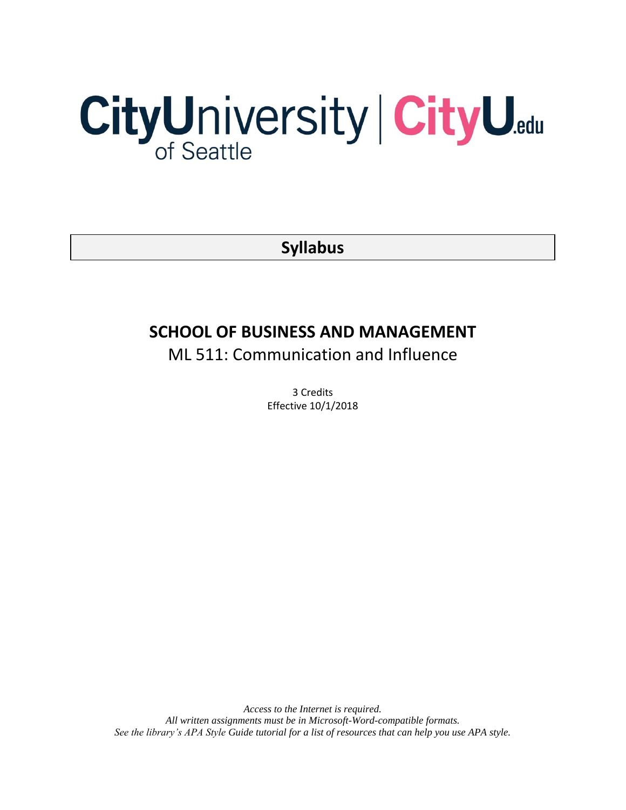# CityUniversity | CityU.edu

**Syllabus**

# **SCHOOL OF BUSINESS AND MANAGEMENT**

ML 511: Communication and Influence

3 Credits Effective 10/1/2018

*Access to the Internet is required. All written assignments must be in Microsoft-Word-compatible formats. See the library's APA Style Guide tutorial for a list of resources that can help you use APA style.*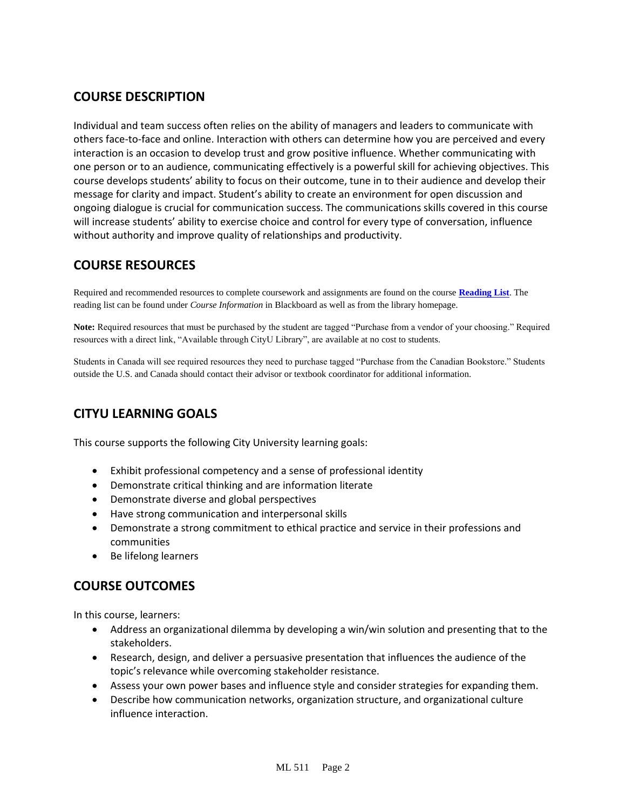# **COURSE DESCRIPTION**

Individual and team success often relies on the ability of managers and leaders to communicate with others face-to-face and online. Interaction with others can determine how you are perceived and every interaction is an occasion to develop trust and grow positive influence. Whether communicating with one person or to an audience, communicating effectively is a powerful skill for achieving objectives. This course develops students' ability to focus on their outcome, tune in to their audience and develop their message for clarity and impact. Student's ability to create an environment for open discussion and ongoing dialogue is crucial for communication success. The communications skills covered in this course will increase students' ability to exercise choice and control for every type of conversation, influence without authority and improve quality of relationships and productivity.

# **COURSE RESOURCES**

Required and recommended resources to complete coursework and assignments are found on the course **[Reading List](https://nam03.safelinks.protection.outlook.com/?url=https%3A%2F%2Fcityu.alma.exlibrisgroup.com%2Fleganto%2Flogin%3Fauth%3DSAML&data=04%7C01%7CMMara%40cityu.edu%7C70673ce0fe0144040eda08d87472e204%7Cb3fa96d9f5154662add763d854e39e63%7C1%7C0%7C637387384066198115%7CUnknown%7CTWFpbGZsb3d8eyJWIjoiMC4wLjAwMDAiLCJQIjoiV2luMzIiLCJBTiI6Ik1haWwiLCJXVCI6Mn0%3D%7C1000&sdata=JbwP%2Fm5Q%2BMgIUWa%2FXceos%2BoiLv0DX%2B%2FL%2BNGNMbX9P8E%3D&reserved=0)**. The reading list can be found under *Course Information* in Blackboard as well as from the library homepage.

**Note:** Required resources that must be purchased by the student are tagged "Purchase from a vendor of your choosing." Required resources with a direct link, "Available through CityU Library", are available at no cost to students.

Students in Canada will see required resources they need to purchase tagged "Purchase from the Canadian Bookstore." Students outside the U.S. and Canada should contact their advisor or textbook coordinator for additional information.

# **CITYU LEARNING GOALS**

This course supports the following City University learning goals:

- Exhibit professional competency and a sense of professional identity
- Demonstrate critical thinking and are information literate
- Demonstrate diverse and global perspectives
- Have strong communication and interpersonal skills
- Demonstrate a strong commitment to ethical practice and service in their professions and communities
- Be lifelong learners

# **COURSE OUTCOMES**

In this course, learners:

- Address an organizational dilemma by developing a win/win solution and presenting that to the stakeholders.
- Research, design, and deliver a persuasive presentation that influences the audience of the topic's relevance while overcoming stakeholder resistance.
- Assess your own power bases and influence style and consider strategies for expanding them.
- Describe how communication networks, organization structure, and organizational culture influence interaction.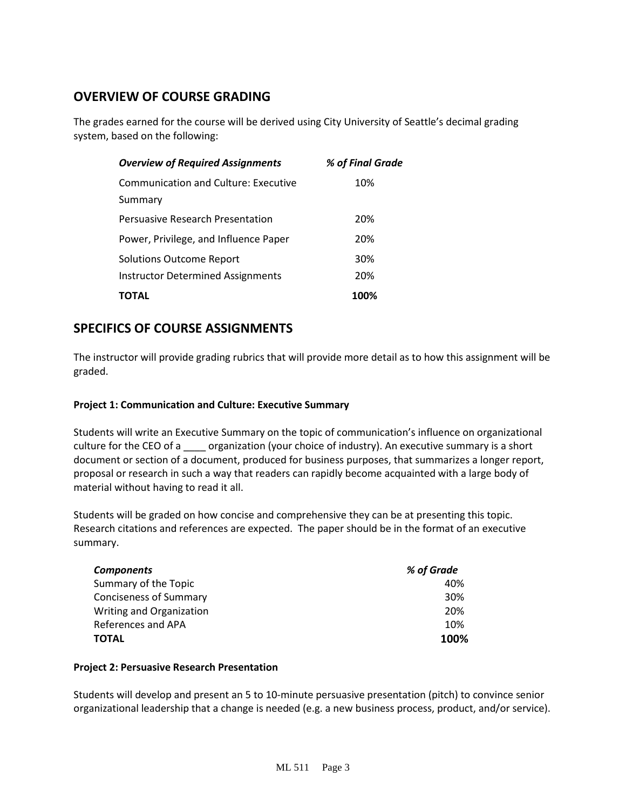# **OVERVIEW OF COURSE GRADING**

The grades earned for the course will be derived using City University of Seattle's decimal grading system, based on the following:

| <b>Overview of Required Assignments</b>     | % of Final Grade |
|---------------------------------------------|------------------|
| <b>Communication and Culture: Executive</b> | 10%              |
| Summary                                     |                  |
| Persuasive Research Presentation            | 20%              |
| Power, Privilege, and Influence Paper       | 20%              |
| Solutions Outcome Report                    | 30%              |
| <b>Instructor Determined Assignments</b>    | 20%              |
| ΤΟΤΑL                                       | 100%             |

# **SPECIFICS OF COURSE ASSIGNMENTS**

The instructor will provide grading rubrics that will provide more detail as to how this assignment will be graded.

### **Project 1: Communication and Culture: Executive Summary**

Students will write an Executive Summary on the topic of communication's influence on organizational culture for the CEO of a criangle organization (your choice of industry). An executive summary is a short document or section of a document, produced for business purposes, that summarizes a longer report, proposal or research in such a way that readers can rapidly become acquainted with a large body of material without having to read it all.

Students will be graded on how concise and comprehensive they can be at presenting this topic. Research citations and references are expected. The paper should be in the format of an executive summary.

| <b>Components</b>             | % of Grade |
|-------------------------------|------------|
| Summary of the Topic          | 40%        |
| <b>Conciseness of Summary</b> | 30%        |
| Writing and Organization      | 20%        |
| References and APA            | 10%        |
| <b>TOTAL</b>                  | 100%       |

### **Project 2: Persuasive Research Presentation**

Students will develop and present an 5 to 10-minute persuasive presentation (pitch) to convince senior organizational leadership that a change is needed (e.g. a new business process, product, and/or service).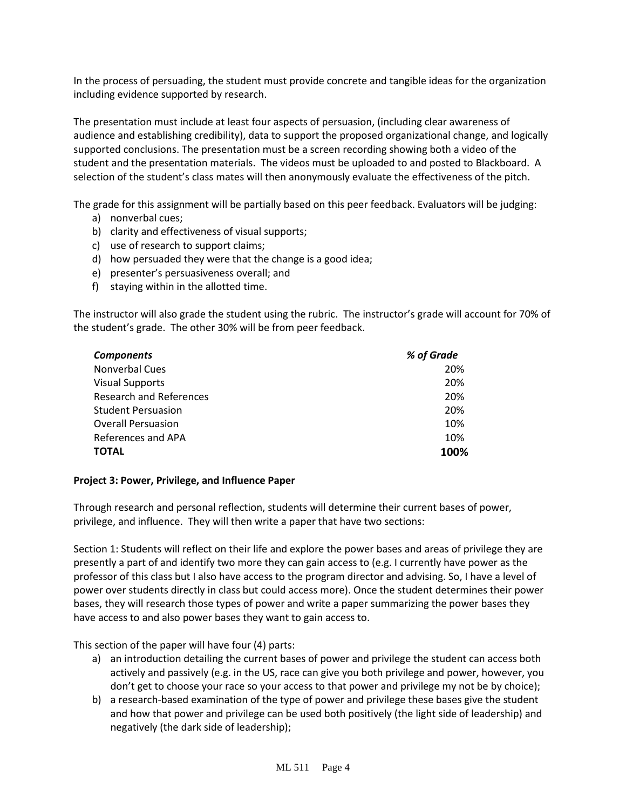In the process of persuading, the student must provide concrete and tangible ideas for the organization including evidence supported by research.

The presentation must include at least four aspects of persuasion, (including clear awareness of audience and establishing credibility), data to support the proposed organizational change, and logically supported conclusions. The presentation must be a screen recording showing both a video of the student and the presentation materials. The videos must be uploaded to and posted to Blackboard. A selection of the student's class mates will then anonymously evaluate the effectiveness of the pitch.

The grade for this assignment will be partially based on this peer feedback. Evaluators will be judging:

- a) nonverbal cues;
- b) clarity and effectiveness of visual supports;
- c) use of research to support claims;
- d) how persuaded they were that the change is a good idea;
- e) presenter's persuasiveness overall; and
- f) staying within in the allotted time.

The instructor will also grade the student using the rubric. The instructor's grade will account for 70% of the student's grade. The other 30% will be from peer feedback.

| <b>Components</b>              | % of Grade |
|--------------------------------|------------|
| <b>Nonverbal Cues</b>          | 20%        |
| <b>Visual Supports</b>         | 20%        |
| <b>Research and References</b> | 20%        |
| <b>Student Persuasion</b>      | 20%        |
| <b>Overall Persuasion</b>      | 10%        |
| References and APA             | 10%        |
| <b>TOTAL</b>                   | 100%       |

### **Project 3: Power, Privilege, and Influence Paper**

Through research and personal reflection, students will determine their current bases of power, privilege, and influence. They will then write a paper that have two sections:

Section 1: Students will reflect on their life and explore the power bases and areas of privilege they are presently a part of and identify two more they can gain access to (e.g. I currently have power as the professor of this class but I also have access to the program director and advising. So, I have a level of power over students directly in class but could access more). Once the student determines their power bases, they will research those types of power and write a paper summarizing the power bases they have access to and also power bases they want to gain access to.

This section of the paper will have four (4) parts:

- a) an introduction detailing the current bases of power and privilege the student can access both actively and passively (e.g. in the US, race can give you both privilege and power, however, you don't get to choose your race so your access to that power and privilege my not be by choice);
- b) a research-based examination of the type of power and privilege these bases give the student and how that power and privilege can be used both positively (the light side of leadership) and negatively (the dark side of leadership);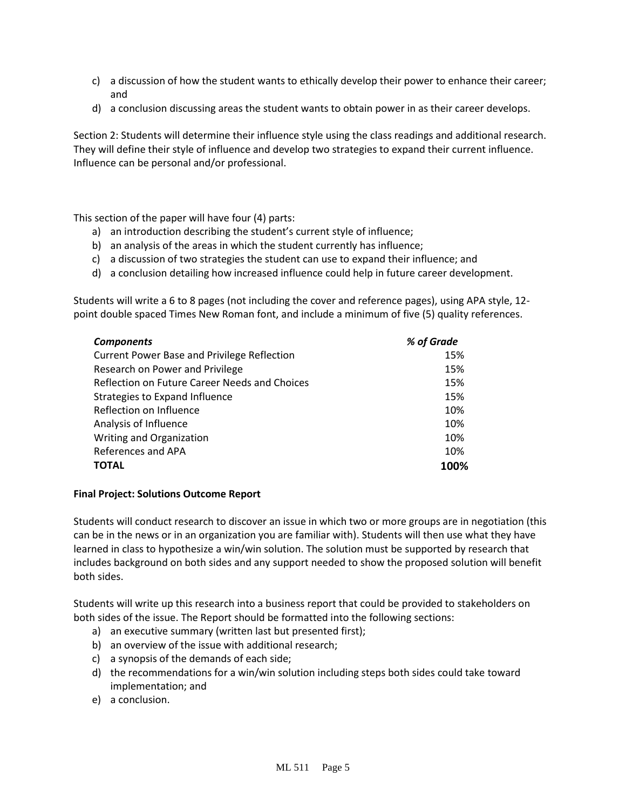- c) a discussion of how the student wants to ethically develop their power to enhance their career; and
- d) a conclusion discussing areas the student wants to obtain power in as their career develops.

Section 2: Students will determine their influence style using the class readings and additional research. They will define their style of influence and develop two strategies to expand their current influence. Influence can be personal and/or professional.

This section of the paper will have four (4) parts:

- a) an introduction describing the student's current style of influence;
- b) an analysis of the areas in which the student currently has influence;
- c) a discussion of two strategies the student can use to expand their influence; and
- d) a conclusion detailing how increased influence could help in future career development.

Students will write a 6 to 8 pages (not including the cover and reference pages), using APA style, 12 point double spaced Times New Roman font, and include a minimum of five (5) quality references.

| <b>Components</b>                                  | % of Grade |
|----------------------------------------------------|------------|
| <b>Current Power Base and Privilege Reflection</b> | 15%        |
| Research on Power and Privilege                    | 15%        |
| Reflection on Future Career Needs and Choices      | 15%        |
| Strategies to Expand Influence                     | 15%        |
| Reflection on Influence                            | 10%        |
| Analysis of Influence                              | 10%        |
| Writing and Organization                           | 10%        |
| References and APA                                 | 10%        |
| <b>TOTAL</b>                                       | 100%       |

### **Final Project: Solutions Outcome Report**

Students will conduct research to discover an issue in which two or more groups are in negotiation (this can be in the news or in an organization you are familiar with). Students will then use what they have learned in class to hypothesize a win/win solution. The solution must be supported by research that includes background on both sides and any support needed to show the proposed solution will benefit both sides.

Students will write up this research into a business report that could be provided to stakeholders on both sides of the issue. The Report should be formatted into the following sections:

- a) an executive summary (written last but presented first);
- b) an overview of the issue with additional research;
- c) a synopsis of the demands of each side;
- d) the recommendations for a win/win solution including steps both sides could take toward implementation; and
- e) a conclusion.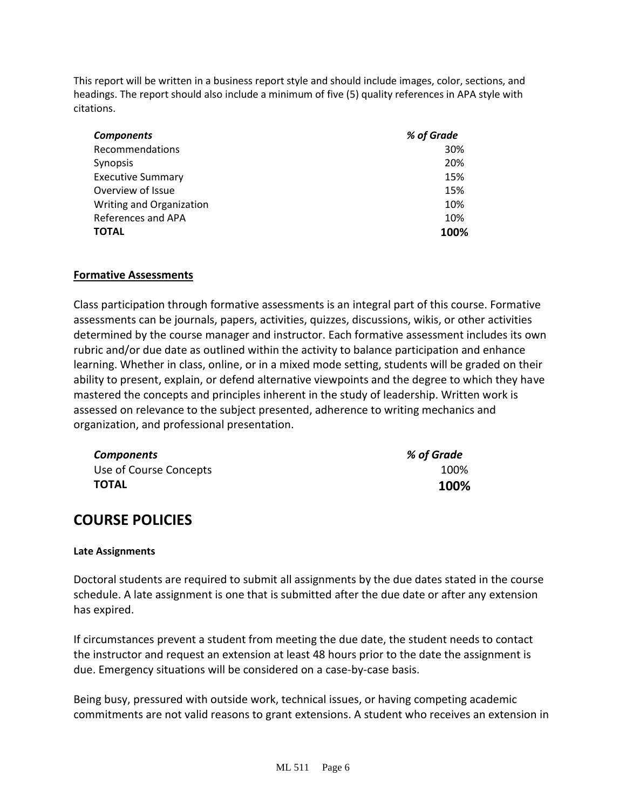This report will be written in a business report style and should include images, color, sections, and headings. The report should also include a minimum of five (5) quality references in APA style with citations.

| <b>Components</b>        | % of Grade |
|--------------------------|------------|
| Recommendations          | 30%        |
| Synopsis                 | 20%        |
| <b>Executive Summary</b> | 15%        |
| Overview of Issue        | 15%        |
| Writing and Organization | 10%        |
| References and APA       | 10%        |
| <b>TOTAL</b>             | 100%       |

### **Formative Assessments**

Class participation through formative assessments is an integral part of this course. Formative assessments can be journals, papers, activities, quizzes, discussions, wikis, or other activities determined by the course manager and instructor. Each formative assessment includes its own rubric and/or due date as outlined within the activity to balance participation and enhance learning. Whether in class, online, or in a mixed mode setting, students will be graded on their ability to present, explain, or defend alternative viewpoints and the degree to which they have mastered the concepts and principles inherent in the study of leadership. Written work is assessed on relevance to the subject presented, adherence to writing mechanics and organization, and professional presentation.

| <b>Components</b>      | % of Grade |
|------------------------|------------|
| Use of Course Concepts | 100%       |
| TOTAL                  | 100%       |

# **COURSE POLICIES**

### **Late Assignments**

Doctoral students are required to submit all assignments by the due dates stated in the course schedule. A late assignment is one that is submitted after the due date or after any extension has expired.

If circumstances prevent a student from meeting the due date, the student needs to contact the instructor and request an extension at least 48 hours prior to the date the assignment is due. Emergency situations will be considered on a case-by-case basis.

Being busy, pressured with outside work, technical issues, or having competing academic commitments are not valid reasons to grant extensions. A student who receives an extension in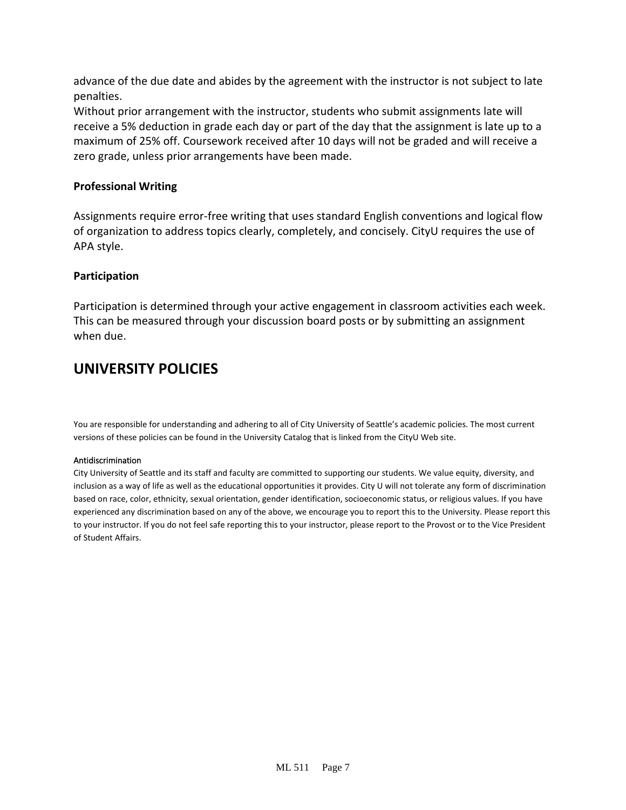advance of the due date and abides by the agreement with the instructor is not subject to late penalties.

Without prior arrangement with the instructor, students who submit assignments late will receive a 5% deduction in grade each day or part of the day that the assignment is late up to a maximum of 25% off. Coursework received after 10 days will not be graded and will receive a zero grade, unless prior arrangements have been made.

### **Professional Writing**

Assignments require error-free writing that uses standard English conventions and logical flow of organization to address topics clearly, completely, and concisely. CityU requires the use of APA style.

### **Participation**

Participation is determined through your active engagement in classroom activities each week. This can be measured through your discussion board posts or by submitting an assignment when due.

# **UNIVERSITY POLICIES**

You are responsible for understanding and adhering to all of City University of Seattle's academic policies. The most current versions of these policies can be found in the University Catalog that is linked from the CityU Web site.

### Antidiscrimination

City University of Seattle and its staff and faculty are committed to supporting our students. We value equity, diversity, and inclusion as a way of life as well as the educational opportunities it provides. City U will not tolerate any form of discrimination based on race, color, ethnicity, sexual orientation, gender identification, socioeconomic status, or religious values. If you have experienced any discrimination based on any of the above, we encourage you to report this to the University. Please report this to your instructor. If you do not feel safe reporting this to your instructor, please report to the Provost or to the Vice President of Student Affairs.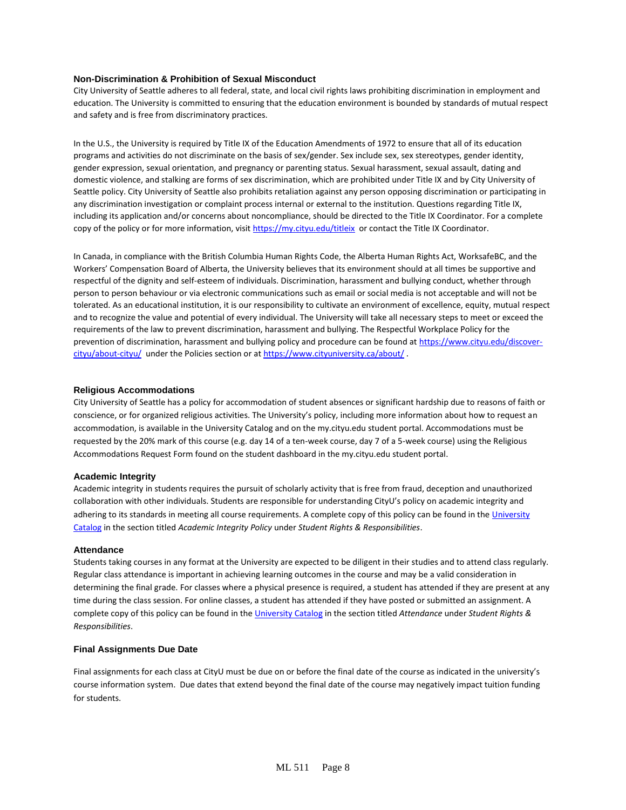### **Non-Discrimination & Prohibition of Sexual Misconduct**

City University of Seattle adheres to all federal, state, and local civil rights laws prohibiting discrimination in employment and education. The University is committed to ensuring that the education environment is bounded by standards of mutual respect and safety and is free from discriminatory practices.

In the U.S., the University is required by Title IX of the Education Amendments of 1972 to ensure that all of its education programs and activities do not discriminate on the basis of sex/gender. Sex include sex, sex stereotypes, gender identity, gender expression, sexual orientation, and pregnancy or parenting status. Sexual harassment, sexual assault, dating and domestic violence, and stalking are forms of sex discrimination, which are prohibited under Title IX and by City University of Seattle policy. City University of Seattle also prohibits retaliation against any person opposing discrimination or participating in any discrimination investigation or complaint process internal or external to the institution. Questions regarding Title IX, including its application and/or concerns about noncompliance, should be directed to the Title IX Coordinator. For a complete copy of the policy or for more information, visi[t https://my.cityu.edu/titleix](https://my.cityu.edu/titleix) or contact the Title IX Coordinator.

In Canada, in compliance with the British Columbia Human Rights Code, the Alberta Human Rights Act, WorksafeBC, and the Workers' Compensation Board of Alberta, the University believes that its environment should at all times be supportive and respectful of the dignity and self-esteem of individuals. Discrimination, harassment and bullying conduct, whether through person to person behaviour or via electronic communications such as email or social media is not acceptable and will not be tolerated. As an educational institution, it is our responsibility to cultivate an environment of excellence, equity, mutual respect and to recognize the value and potential of every individual. The University will take all necessary steps to meet or exceed the requirements of the law to prevent discrimination, harassment and bullying. The Respectful Workplace Policy for the prevention of discrimination, harassment and bullying policy and procedure can be found at [https://www.cityu.edu/discover](https://www.cityu.edu/discover-cityu/about-cityu/)[cityu/about-cityu/](https://www.cityu.edu/discover-cityu/about-cityu/) under the Policies section or at<https://www.cityuniversity.ca/about/>.

### **Religious Accommodations**

City University of Seattle has a policy for accommodation of student absences or significant hardship due to reasons of faith or conscience, or for organized religious activities. The University's policy, including more information about how to request an accommodation, is available in the University Catalog and on the my.cityu.edu student portal. Accommodations must be requested by the 20% mark of this course (e.g. day 14 of a ten-week course, day 7 of a 5-week course) using the Religious Accommodations Request Form found on the student dashboard in the my.cityu.edu student portal.

### **Academic Integrity**

Academic integrity in students requires the pursuit of scholarly activity that is free from fraud, deception and unauthorized collaboration with other individuals. Students are responsible for understanding CityU's policy on academic integrity and adhering to its standards in meeting all course requirements. A complete copy of this policy can be found in th[e University](http://www.cityu.edu/catalog/) [Catalog](http://www.cityu.edu/catalog/) in the section titled *Academic Integrity Policy* under *Student Rights & Responsibilities*.

### **Attendance**

Students taking courses in any format at the University are expected to be diligent in their studies and to attend class regularly. Regular class attendance is important in achieving learning outcomes in the course and may be a valid consideration in determining the final grade. For classes where a physical presence is required, a student has attended if they are present at any time during the class session. For online classes, a student has attended if they have posted or submitted an assignment. A complete copy of this policy can be found in th[e University Catalog](http://www.cityu.edu/catalog/) in the section titled *Attendance* under *Student Rights & Responsibilities*.

### **Final Assignments Due Date**

Final assignments for each class at CityU must be due on or before the final date of the course as indicated in the university's course information system. Due dates that extend beyond the final date of the course may negatively impact tuition funding for students.